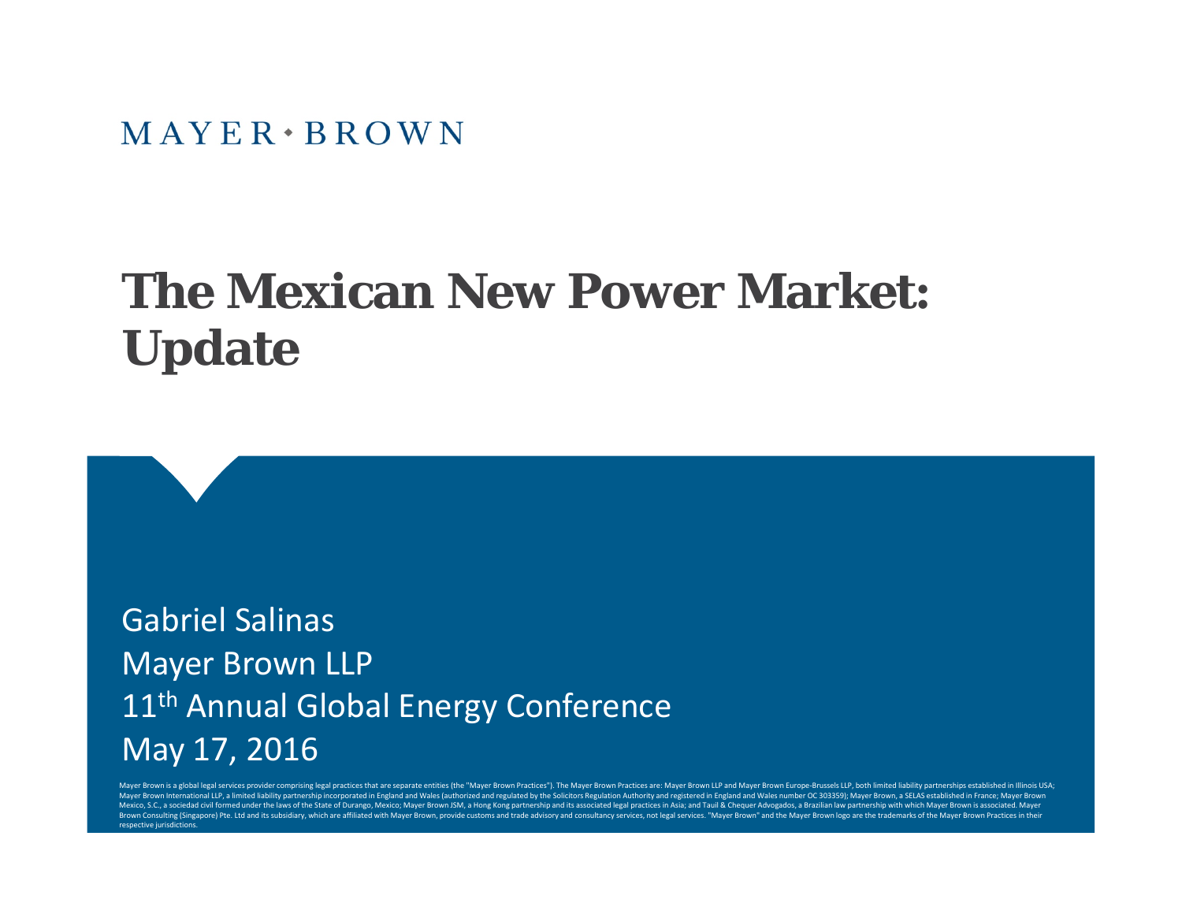$MAYER \cdot BROWN$ 

## **The Mexican New Power Market: Update**

Gabriel SalinasMayer Brown LLP 11<sup>th</sup> Annual Global Energy Conference May 17, 2016

Mayer Brown is a global legal services provider comprising legal practices that are separate entities (the "Mayer Brown Practices"). The Mayer Brown Practices are: Mayer Brown Practices are: Mayer Brown Practices are: Maye Mayer Brown International LLP, a limited liability partnership incorporated in England and Wales (authorized and regulated by the Solicitors Regulation Authority and registered in England and Wales number OC 303359); Mayer Mexico, S.C., a sociedad civil formed under the laws of the State of Durango, Mexico; Mayer Brown JSM, a Hong Kong partnership and its associated legal practices in Asia; and Tauil & Chequer Advogados, a Brazilian law part Brown Consulting (Singapore) Pte. Ltd and its subsidiary, which are affiliated with Mayer Brown, provide customs and trade advisory and consultancy services, not legal services. "Mayer Brown" and the Mayer Brown logo are t respective jurisdictions.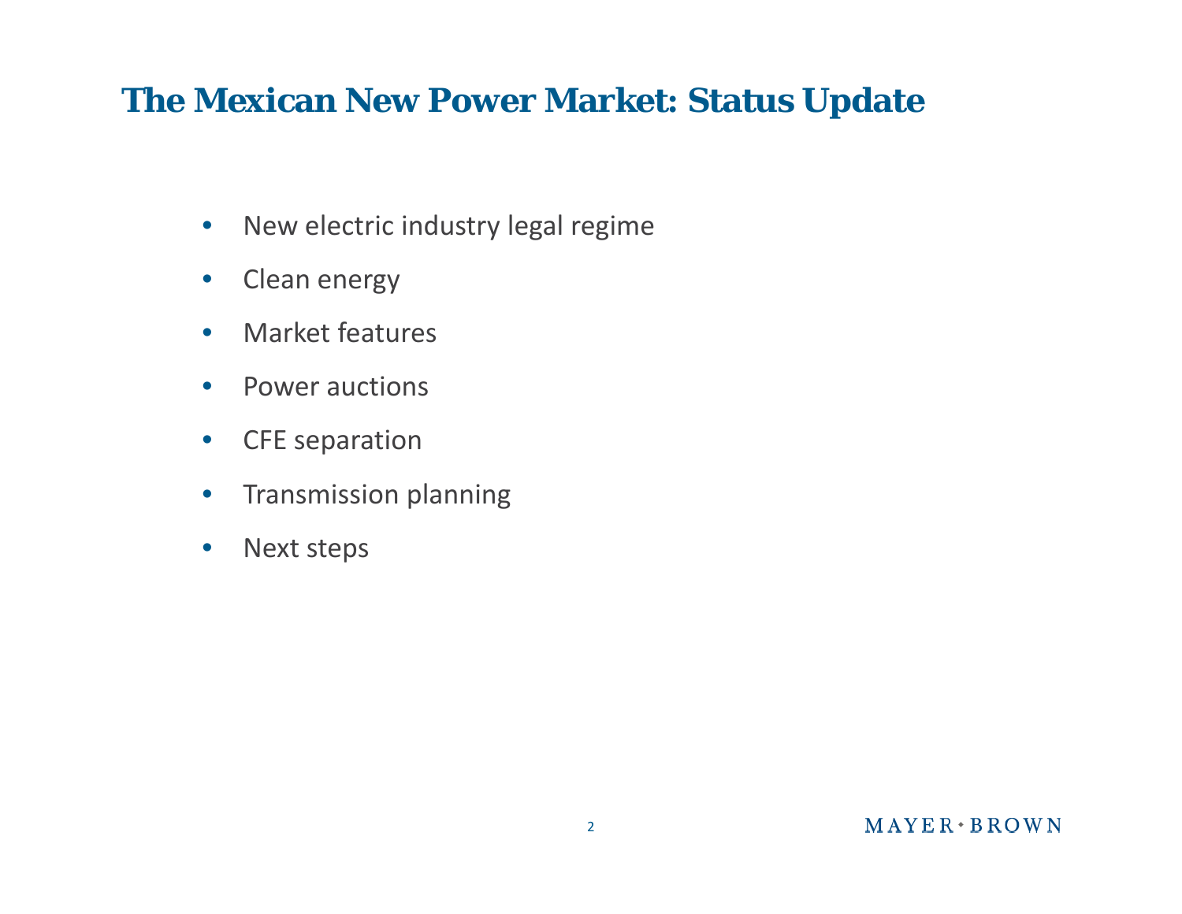#### **The Mexican New Power Market: Status Update**

- $\bullet$ • New electric industry legal regime
- $\bullet$ **•** Clean energy
- $\bullet$ Market features
- $\bullet$ Power auctions
- $\bullet$ CFE separation
- $\bullet$ **•** Transmission planning
- $\bullet$ Next steps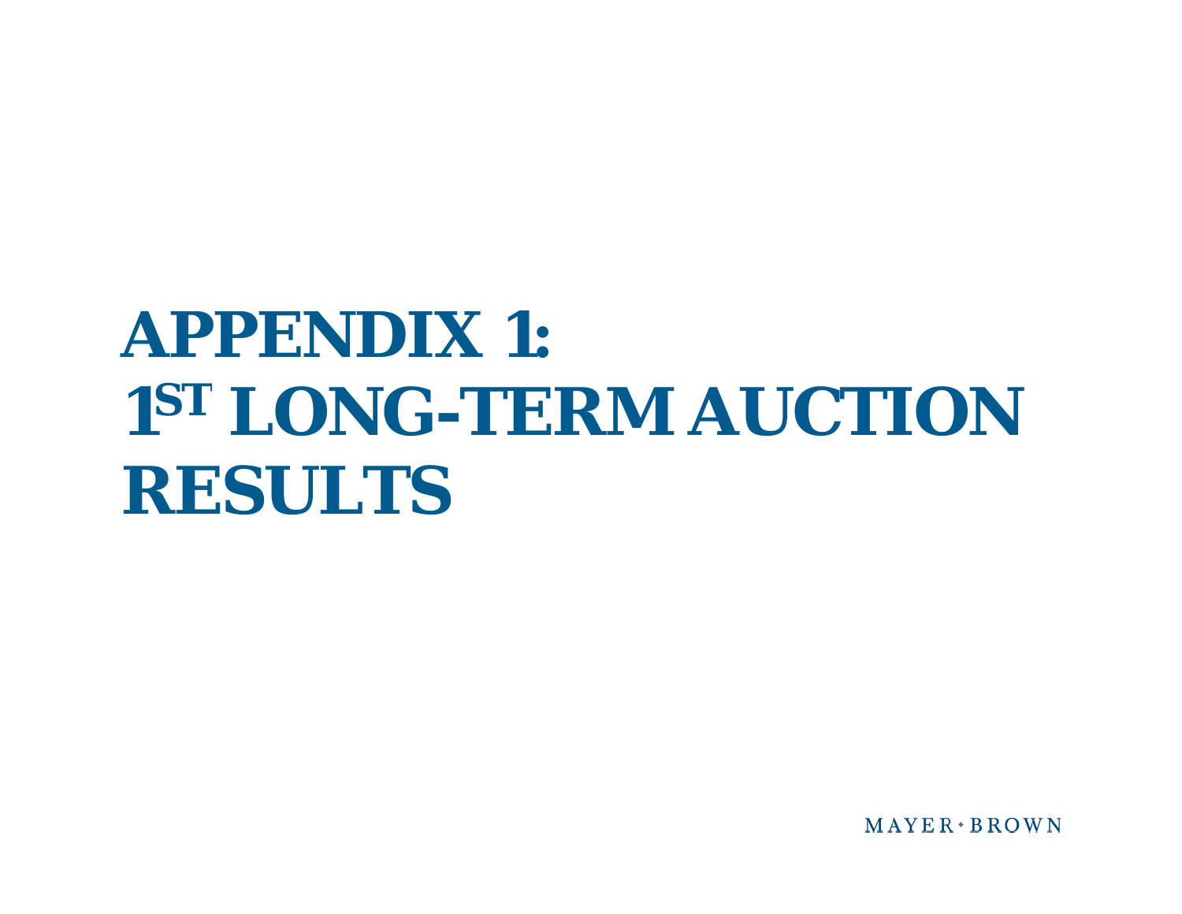$MAYER+BROWN$ 

# **APPENDIX 1: 1ST LONG-TERM AUCTION RESULTS**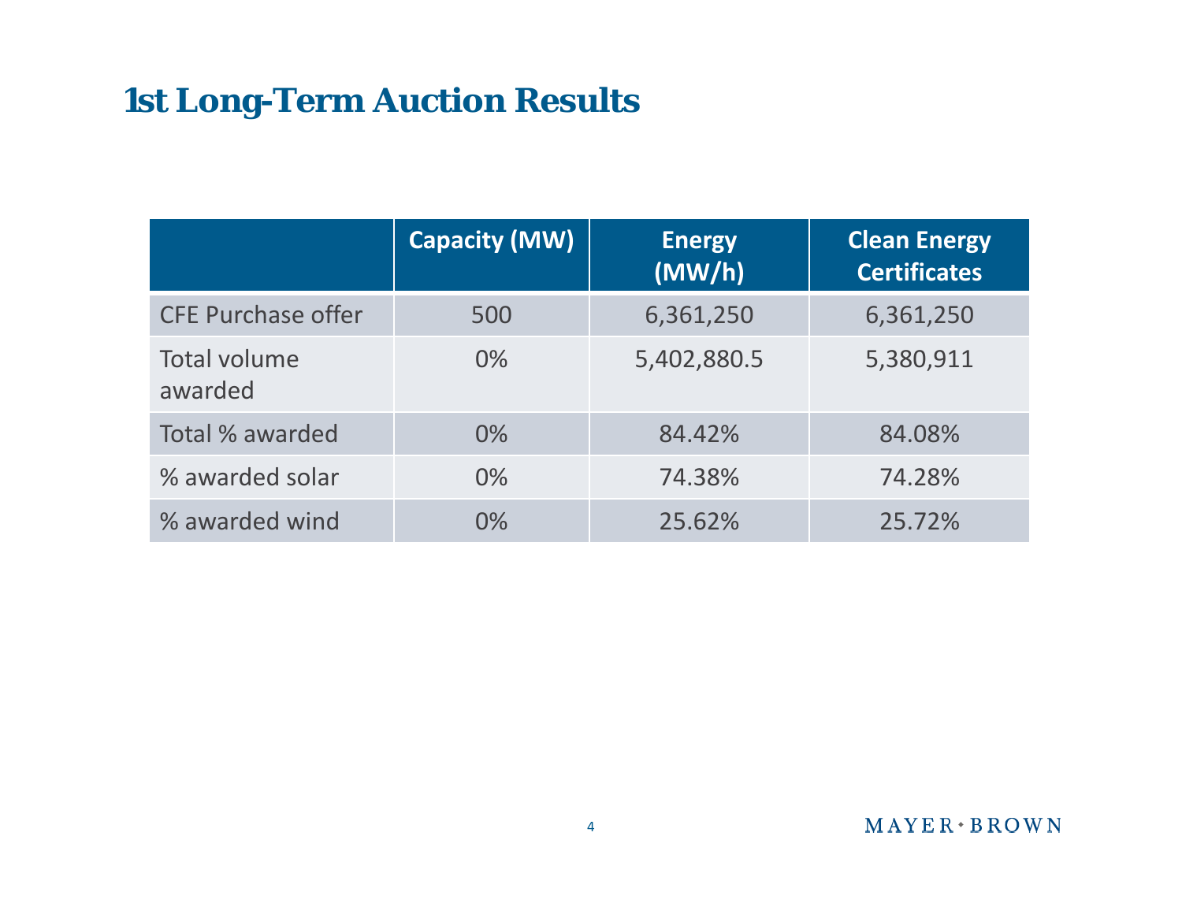### **1st Long-Term Auction Results**

|                                | <b>Capacity (MW)</b> | <b>Energy</b><br>(MW/h) | <b>Clean Energy</b><br><b>Certificates</b> |
|--------------------------------|----------------------|-------------------------|--------------------------------------------|
| <b>CFE Purchase offer</b>      | 500                  | 6,361,250               | 6,361,250                                  |
| <b>Total volume</b><br>awarded | 0%                   | 5,402,880.5             | 5,380,911                                  |
| Total % awarded                | 0%                   | 84.42%                  | 84.08%                                     |
| % awarded solar                | $0\%$                | 74.38%                  | 74.28%                                     |
| % awarded wind                 | 0%                   | 25.62%                  | 25.72%                                     |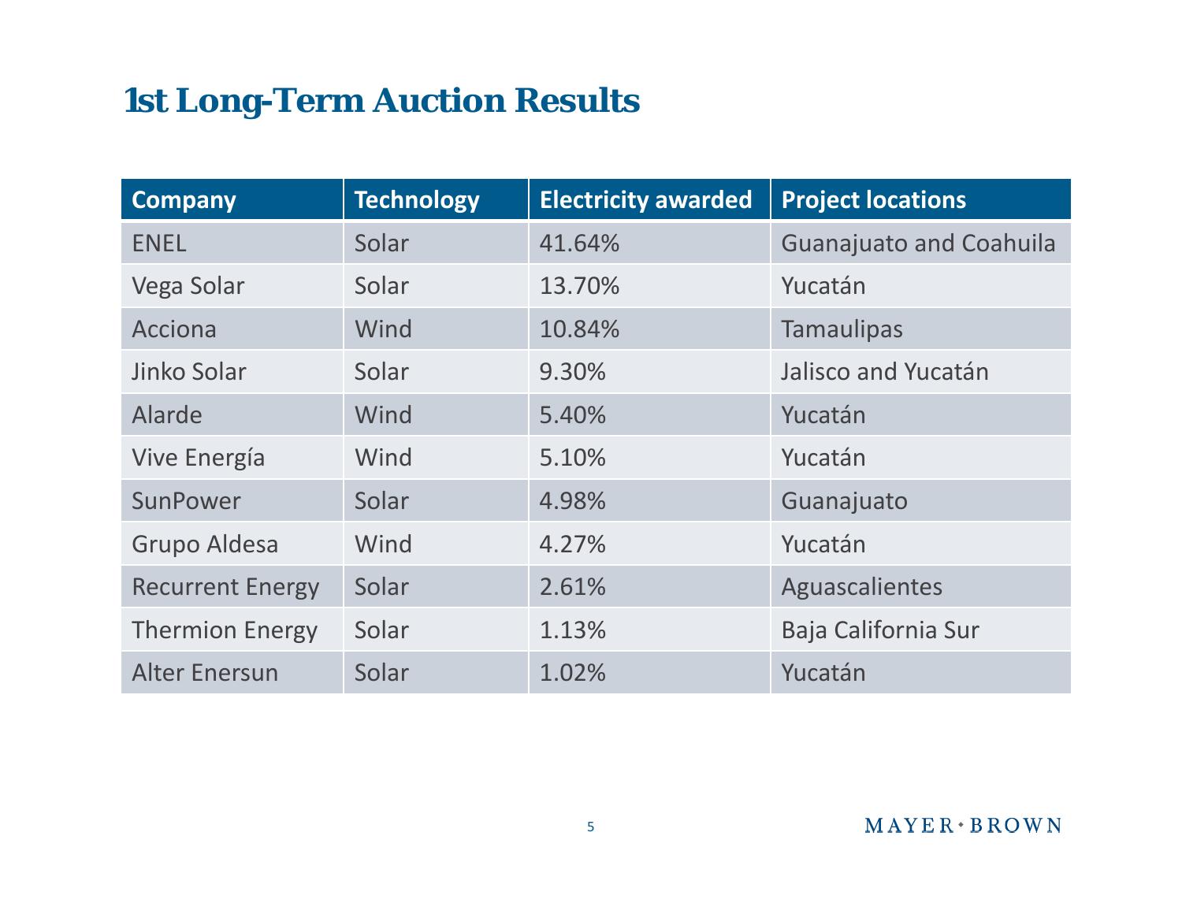### **1st Long-Term Auction Results**

| <b>Company</b>          | <b>Technology</b> | <b>Electricity awarded</b> | <b>Project locations</b>       |
|-------------------------|-------------------|----------------------------|--------------------------------|
| <b>ENEL</b>             | Solar             | 41.64%                     | <b>Guanajuato and Coahuila</b> |
| Vega Solar              | Solar             | 13.70%                     | Yucatán                        |
| Acciona                 | Wind              | 10.84%                     | <b>Tamaulipas</b>              |
| Jinko Solar             | Solar             | 9.30%                      | Jalisco and Yucatán            |
| Alarde                  | Wind              | 5.40%                      | Yucatán                        |
| Vive Energía            | Wind              | 5.10%                      | Yucatán                        |
| SunPower                | Solar             | 4.98%                      | Guanajuato                     |
| Grupo Aldesa            | Wind              | 4.27%                      | Yucatán                        |
| <b>Recurrent Energy</b> | Solar             | 2.61%                      | Aguascalientes                 |
| <b>Thermion Energy</b>  | Solar             | 1.13%                      | Baja California Sur            |
| <b>Alter Enersun</b>    | Solar             | 1.02%                      | Yucatán                        |